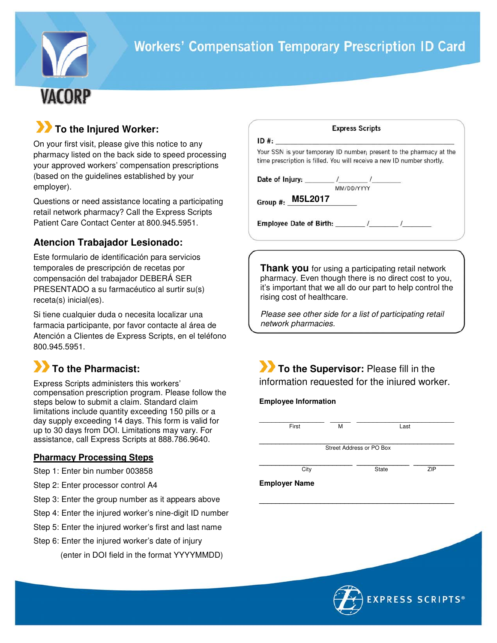

## **To the Injured Worker:**

On your first visit, please give this notice to any pharmacy listed on the back side to speed processing your approved workers' compensation prescriptions (based on the guidelines established by your employer).

Questions or need assistance locating a participating retail network pharmacy? Call the Express Scripts Patient Care Contact Center at 800.945.5951.

### **Atencion Trabajador Lesionado:**

Este formulario de identificación para servicios temporales de prescripción de recetas por compensación del trabajador DEBERÁ SER PRESENTADO a su farmacéutico al surtir su(s) receta(s) inicial(es).

Si tiene cualquier duda o necesita localizar una farmacia participante, por favor contacte al área de Atención a Clientes de Express Scripts, en el teléfono 800.945.5951.

## **To the Pharmacist:**

Express Scripts administers this workers' compensation prescription program. Please follow the steps below to submit a claim. Standard claim limitations include quantity exceeding 150 pills or a day supply exceeding 14 days. This form is valid for up to 30 days from DOI. Limitations may vary. For assistance, call Express Scripts at 888.786.9640.

#### **Pharmacy Processing Steps**

Step 1: Enter bin number 003858

Step 2: Enter processor control A4

Step 3: Enter the group number as it appears above

Step 4: Enter the injured worker's nine-digit ID number

Step 5: Enter the injured worker's first and last name

Step 6: Enter the injured worker's date of injury

(enter in DOI field in the format YYYYMMDD)

|                                                                                                                                                |            | <b>Express Scripts</b> |  |
|------------------------------------------------------------------------------------------------------------------------------------------------|------------|------------------------|--|
| ID#:                                                                                                                                           |            |                        |  |
| Your SSN is your temporary ID number; present to the pharmacy at the<br>time prescription is filled. You will receive a new ID number shortly. |            |                        |  |
| Date of Injury: the act of the set of the set of the set of the set of the set of the set of the set of the set o                              | MM/DD/YYYY |                        |  |
| Group #: $M5L2017$                                                                                                                             |            |                        |  |
|                                                                                                                                                |            |                        |  |
|                                                                                                                                                |            |                        |  |

**Thank you** for using a participating retail network pharmacy. Even though there is no direct cost to you, it's important that we all do our part to help control the rising cost of healthcare.

Please see other side for a list of participating retail network pharmacies.

**To the Supervisor:** Please fill in the information requested for the injured worker.

#### **Employee Information**

| First                    | М | Last         |     |  |  |  |  |
|--------------------------|---|--------------|-----|--|--|--|--|
| Street Address or PO Box |   |              |     |  |  |  |  |
| City                     |   | <b>State</b> | ZIP |  |  |  |  |
| <b>Employer Name</b>     |   |              |     |  |  |  |  |

**\_\_\_\_\_\_\_\_\_\_\_\_\_\_\_\_\_\_\_\_\_\_\_\_\_\_\_\_\_\_\_\_\_\_\_\_\_\_\_\_\_\_\_\_\_\_\_\_**



**EXPRESS SCRIPTS®**